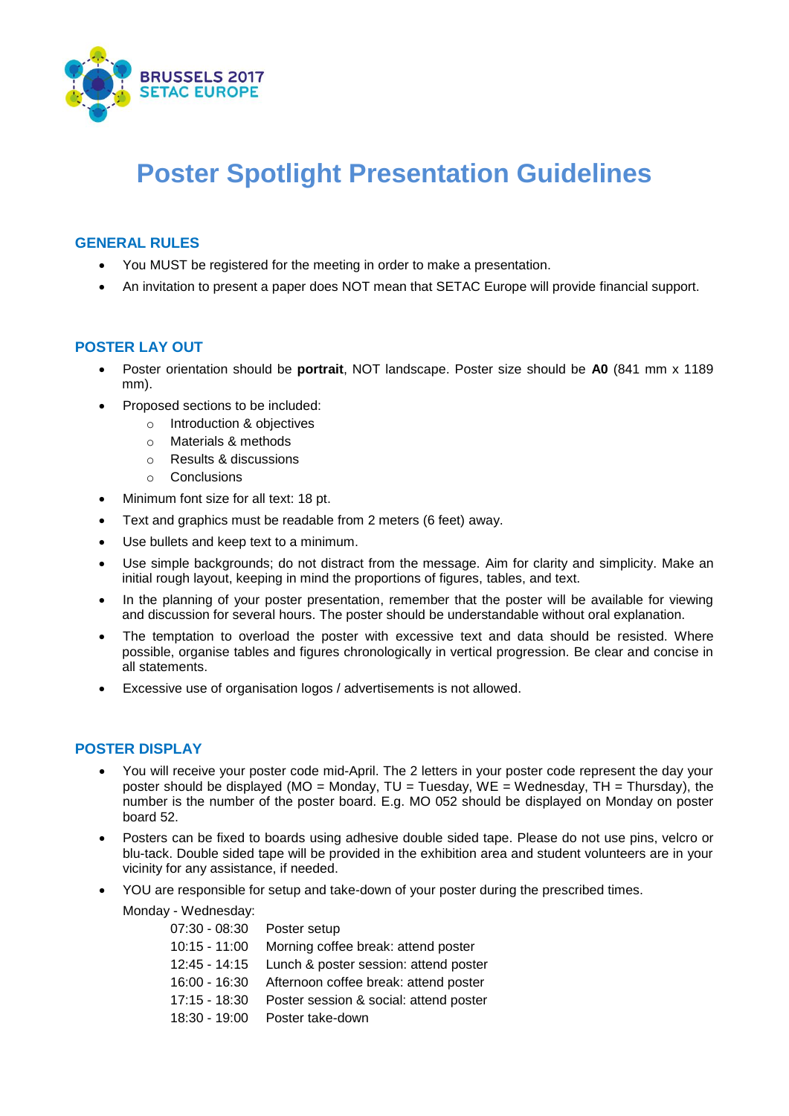

# **Poster Spotlight Presentation Guidelines**

### **GENERAL RULES**

- You MUST be registered for the meeting in order to make a presentation.
- An invitation to present a paper does NOT mean that SETAC Europe will provide financial support.

### **POSTER LAY OUT**

- Poster orientation should be **portrait**, NOT landscape. Poster size should be **A0** (841 mm x 1189 mm).
- Proposed sections to be included:
	- o Introduction & objectives
	- o Materials & methods
	- o Results & discussions
	- o Conclusions
- Minimum font size for all text: 18 pt.
- Text and graphics must be readable from 2 meters (6 feet) away.
- Use bullets and keep text to a minimum.
- Use simple backgrounds; do not distract from the message. Aim for clarity and simplicity. Make an initial rough layout, keeping in mind the proportions of figures, tables, and text.
- In the planning of your poster presentation, remember that the poster will be available for viewing and discussion for several hours. The poster should be understandable without oral explanation.
- The temptation to overload the poster with excessive text and data should be resisted. Where possible, organise tables and figures chronologically in vertical progression. Be clear and concise in all statements.
- Excessive use of organisation logos / advertisements is not allowed.

### **POSTER DISPLAY**

- You will receive your poster code mid-April. The 2 letters in your poster code represent the day your poster should be displayed (MO = Monday, TU = Tuesday, WE = Wednesday, TH = Thursday), the number is the number of the poster board. E.g. MO 052 should be displayed on Monday on poster board 52.
- Posters can be fixed to boards using adhesive double sided tape. Please do not use pins, velcro or blu-tack. Double sided tape will be provided in the exhibition area and student volunteers are in your vicinity for any assistance, if needed.
- YOU are responsible for setup and take-down of your poster during the prescribed times.

Monday - Wednesday:

| $07:30 - 08:30$ | Poster setup                           |
|-----------------|----------------------------------------|
| $10:15 - 11:00$ | Morning coffee break: attend poster    |
| 12:45 - 14:15   | Lunch & poster session: attend poster  |
| 16:00 - 16:30   | Afternoon coffee break: attend poster  |
| $17:15 - 18:30$ | Poster session & social: attend poster |
| $18:30 - 19:00$ | Poster take-down                       |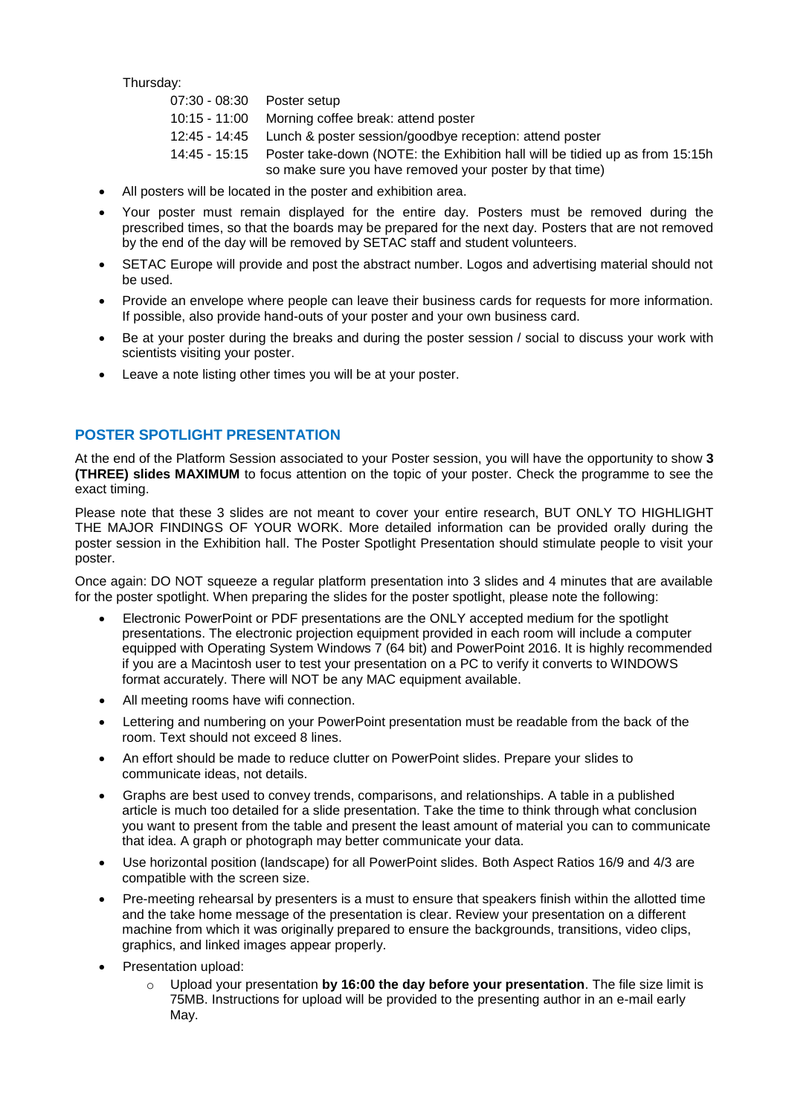Thursday:

| 07:30 - 08:30    Poster setup |                                                                              |
|-------------------------------|------------------------------------------------------------------------------|
| 10:15 - 11:00                 | Morning coffee break: attend poster                                          |
|                               | 12:45 - 14:45 Lunch & poster session/goodbye reception: attend poster        |
| 14:45 - 15:15                 | Poster take-down (NOTE: the Exhibition hall will be tidied up as from 15:15h |
|                               | so make sure you have removed your poster by that time)                      |

- All posters will be located in the poster and exhibition area.
- Your poster must remain displayed for the entire day. Posters must be removed during the prescribed times, so that the boards may be prepared for the next day. Posters that are not removed by the end of the day will be removed by SETAC staff and student volunteers.
- SETAC Europe will provide and post the abstract number. Logos and advertising material should not be used.
- Provide an envelope where people can leave their business cards for requests for more information. If possible, also provide hand-outs of your poster and your own business card.
- Be at your poster during the breaks and during the poster session / social to discuss your work with scientists visiting your poster.
- Leave a note listing other times you will be at your poster.

## **POSTER SPOTLIGHT PRESENTATION**

At the end of the Platform Session associated to your Poster session, you will have the opportunity to show **3 (THREE) slides MAXIMUM** to focus attention on the topic of your poster. Check the programme to see the exact timing.

Please note that these 3 slides are not meant to cover your entire research, BUT ONLY TO HIGHLIGHT THE MAJOR FINDINGS OF YOUR WORK. More detailed information can be provided orally during the poster session in the Exhibition hall. The Poster Spotlight Presentation should stimulate people to visit your poster.

Once again: DO NOT squeeze a regular platform presentation into 3 slides and 4 minutes that are available for the poster spotlight. When preparing the slides for the poster spotlight, please note the following:

- Electronic PowerPoint or PDF presentations are the ONLY accepted medium for the spotlight presentations. The electronic projection equipment provided in each room will include a computer equipped with Operating System Windows 7 (64 bit) and PowerPoint 2016. It is highly recommended if you are a Macintosh user to test your presentation on a PC to verify it converts to WINDOWS format accurately. There will NOT be any MAC equipment available.
- All meeting rooms have wifi connection.
- Lettering and numbering on your PowerPoint presentation must be readable from the back of the room. Text should not exceed 8 lines.
- An effort should be made to reduce clutter on PowerPoint slides. Prepare your slides to communicate ideas, not details.
- Graphs are best used to convey trends, comparisons, and relationships. A table in a published article is much too detailed for a slide presentation. Take the time to think through what conclusion you want to present from the table and present the least amount of material you can to communicate that idea. A graph or photograph may better communicate your data.
- Use horizontal position (landscape) for all PowerPoint slides. Both Aspect Ratios 16/9 and 4/3 are compatible with the screen size.
- Pre-meeting rehearsal by presenters is a must to ensure that speakers finish within the allotted time and the take home message of the presentation is clear. Review your presentation on a different machine from which it was originally prepared to ensure the backgrounds, transitions, video clips, graphics, and linked images appear properly.
- Presentation upload:
	- Upload your presentation by 16:00 the day before your presentation. The file size limit is 75MB. Instructions for upload will be provided to the presenting author in an e-mail early May.